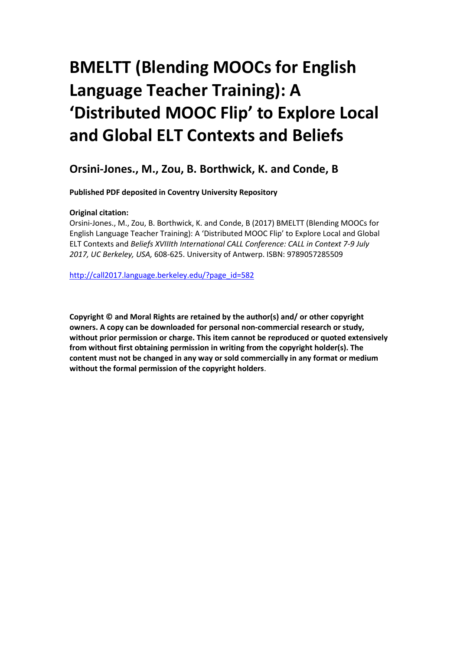# **BMELTT (Blending MOOCs for English Language Teacher Training): A 'Distributed MOOC Flip' to Explore Local and Global ELT Contexts and Beliefs**

# **Orsini-Jones., M., Zou, B. Borthwick, K. and Conde, B**

**Published PDF deposited in Coventry University Repository**

# **Original citation:**

Orsini-Jones., M., Zou, B. Borthwick, K. and Conde, B (2017) BMELTT (Blending MOOCs for English Language Teacher Training): A 'Distributed MOOC Flip' to Explore Local and Global ELT Contexts and *Beliefs XVIIIth International CALL Conference: CALL in Context 7-9 July 2017, UC Berkeley, USA,* 608-625. University of Antwerp. ISBN: 9789057285509

[http://call2017.language.berkeley.edu/?page\\_id=582](http://call2017.language.berkeley.edu/?page_id=582)

**Copyright © and Moral Rights are retained by the author(s) and/ or other copyright owners. A copy can be downloaded for personal non-commercial research or study, without prior permission or charge. This item cannot be reproduced or quoted extensively from without first obtaining permission in writing from the copyright holder(s). The content must not be changed in any way or sold commercially in any format or medium without the formal permission of the copyright holders**.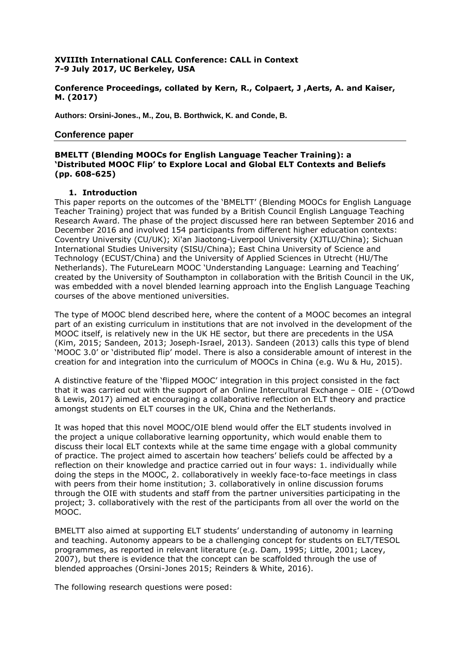#### **XVIIIth International CALL Conference: CALL in Context 7-9 July 2017, UC Berkeley, USA**

#### **Conference Proceedings, collated by Kern, R., Colpaert, J ,Aerts, A. and Kaiser, M. (2017)**

**Authors: Orsini-Jones., M., Zou, B. Borthwick, K. and Conde, B.**

#### **Conference paper**

### **BMELTT (Blending MOOCs for English Language Teacher Training): a 'Distributed MOOC Flip' to Explore Local and Global ELT Contexts and Beliefs (pp. 608-625)**

#### **1. Introduction**

This paper reports on the outcomes of the 'BMELTT' (Blending MOOCs for English Language Teacher Training) project that was funded by a British Council English Language Teaching Research Award. The phase of the project discussed here ran between September 2016 and December 2016 and involved 154 participants from different higher education contexts: Coventry University (CU/UK); Xi'an Jiaotong-Liverpool University (XJTLU/China); Sichuan International Studies University (SISU/China); East China University of Science and Technology (ECUST/China) and the University of Applied Sciences in Utrecht (HU/The Netherlands). The FutureLearn MOOC 'Understanding Language: Learning and Teaching' created by the University of Southampton in collaboration with the British Council in the UK, was embedded with a novel blended learning approach into the English Language Teaching courses of the above mentioned universities.

The type of MOOC blend described here, where the content of a MOOC becomes an integral part of an existing curriculum in institutions that are not involved in the development of the MOOC itself, is relatively new in the UK HE sector, but there are precedents in the USA (Kim, 2015; Sandeen, 2013; Joseph-Israel, 2013). Sandeen (2013) calls this type of blend 'MOOC 3.0' or 'distributed flip' model. There is also a considerable amount of interest in the creation for and integration into the curriculum of MOOCs in China (e.g. Wu & Hu, 2015).

A distinctive feature of the 'flipped MOOC' integration in this project consisted in the fact that it was carried out with the support of an Online Intercultural Exchange – OIE - (O'Dowd & Lewis, 2017) aimed at encouraging a collaborative reflection on ELT theory and practice amongst students on ELT courses in the UK, China and the Netherlands.

It was hoped that this novel MOOC/OIE blend would offer the ELT students involved in the project a unique collaborative learning opportunity, which would enable them to discuss their local ELT contexts while at the same time engage with a global community of practice. The project aimed to ascertain how teachers' beliefs could be affected by a reflection on their knowledge and practice carried out in four ways: 1. individually while doing the steps in the MOOC, 2. collaboratively in weekly face-to-face meetings in class with peers from their home institution; 3. collaboratively in online discussion forums through the OIE with students and staff from the partner universities participating in the project; 3. collaboratively with the rest of the participants from all over the world on the MOOC.

BMELTT also aimed at supporting ELT students' understanding of autonomy in learning and teaching. Autonomy appears to be a challenging concept for students on ELT/TESOL programmes, as reported in relevant literature (e.g. Dam, 1995; Little, 2001; Lacey, 2007), but there is evidence that the concept can be scaffolded through the use of blended approaches (Orsini-Jones 2015; Reinders & White, 2016).

The following research questions were posed: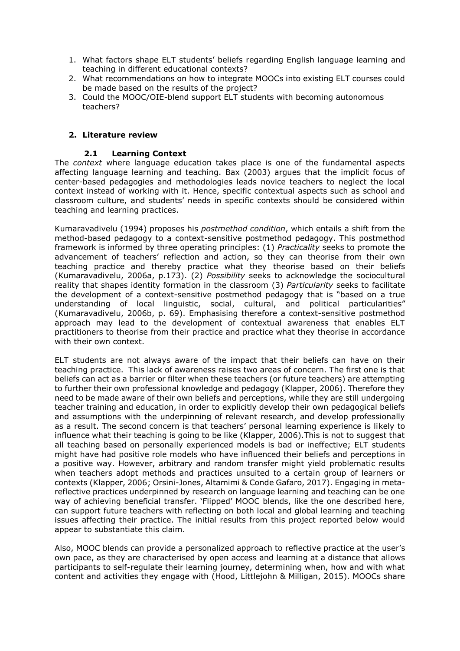- 1. What factors shape ELT students' beliefs regarding English language learning and teaching in different educational contexts?
- 2. What recommendations on how to integrate MOOCs into existing ELT courses could be made based on the results of the project?
- 3. Could the MOOC/OIE-blend support ELT students with becoming autonomous teachers?

#### **2. Literature review**

#### **2.1 Learning Context**

The *context* where language education takes place is one of the fundamental aspects affecting language learning and teaching. Bax (2003) argues that the implicit focus of center-based pedagogies and methodologies leads novice teachers to neglect the local context instead of working with it. Hence, specific contextual aspects such as school and classroom culture, and students' needs in specific contexts should be considered within teaching and learning practices.

Kumaravadivelu (1994) proposes his *postmethod condition*, which entails a shift from the method-based pedagogy to a context-sensitive postmethod pedagogy. This postmethod framework is informed by three operating principles: (1) *Practicality* seeks to promote the advancement of teachers' reflection and action, so they can theorise from their own teaching practice and thereby practice what they theorise based on their beliefs (Kumaravadivelu, 2006a, p.173). (2) *Possibility* seeks to acknowledge the sociocultural reality that shapes identity formation in the classroom (3) *Particularity* seeks to facilitate the development of a context-sensitive postmethod pedagogy that is "based on a true understanding of local linguistic, social, cultural, and political particularities" (Kumaravadivelu, 2006b, p. 69). Emphasising therefore a context-sensitive postmethod approach may lead to the development of contextual awareness that enables ELT practitioners to theorise from their practice and practice what they theorise in accordance with their own context.

ELT students are not always aware of the impact that their beliefs can have on their teaching practice. This lack of awareness raises two areas of concern. The first one is that beliefs can act as a barrier or filter when these teachers (or future teachers) are attempting to further their own professional knowledge and pedagogy (Klapper, 2006). Therefore they need to be made aware of their own beliefs and perceptions, while they are still undergoing teacher training and education, in order to explicitly develop their own pedagogical beliefs and assumptions with the underpinning of relevant research, and develop professionally as a result. The second concern is that teachers' personal learning experience is likely to influence what their teaching is going to be like (Klapper, 2006).This is not to suggest that all teaching based on personally experienced models is bad or ineffective; ELT students might have had positive role models who have influenced their beliefs and perceptions in a positive way. However, arbitrary and random transfer might yield problematic results when teachers adopt methods and practices unsuited to a certain group of learners or contexts (Klapper, 2006; Orsini-Jones, Altamimi & Conde Gafaro, 2017). Engaging in metareflective practices underpinned by research on language learning and teaching can be one way of achieving beneficial transfer. 'Flipped' MOOC blends, like the one described here, can support future teachers with reflecting on both local and global learning and teaching issues affecting their practice. The initial results from this project reported below would appear to substantiate this claim.

Also, MOOC blends can provide a personalized approach to reflective practice at the user's own pace, as they are characterised by open access and learning at a distance that allows participants to self-regulate their learning journey, determining when, how and with what content and activities they engage with (Hood, Littlejohn & Milligan, 2015). MOOCs share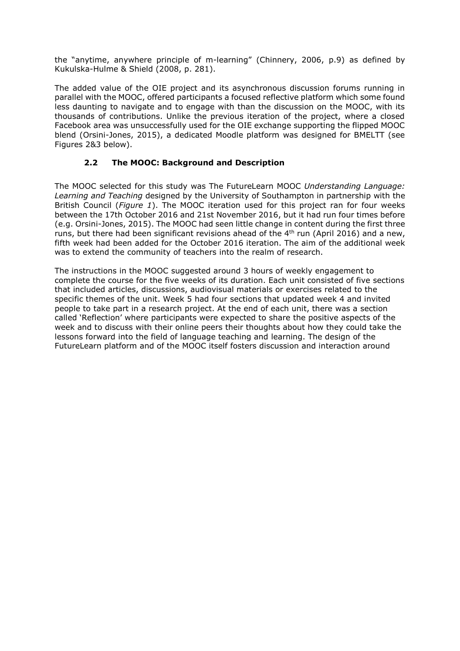the "anytime, anywhere principle of m-learning" (Chinnery, 2006, p.9) as defined by Kukulska-Hulme & Shield (2008, p. 281).

The added value of the OIE project and its asynchronous discussion forums running in parallel with the MOOC, offered participants a focused reflective platform which some found less daunting to navigate and to engage with than the discussion on the MOOC, with its thousands of contributions. Unlike the previous iteration of the project, where a closed Facebook area was unsuccessfully used for the OIE exchange supporting the flipped MOOC blend (Orsini-Jones, 2015), a dedicated Moodle platform was designed for BMELTT (see Figures 2&3 below).

# **2.2 The MOOC: Background and Description**

The MOOC selected for this study was The FutureLearn MOOC *Understanding Language: Learning and Teaching* designed by the University of Southampton in partnership with the British Council (*Figure 1*). The MOOC iteration used for this project ran for four weeks between the 17th October 2016 and 21st November 2016, but it had run four times before (e.g. Orsini-Jones, 2015). The MOOC had seen little change in content during the first three runs, but there had been significant revisions ahead of the  $4<sup>th</sup>$  run (April 2016) and a new, fifth week had been added for the October 2016 iteration. The aim of the additional week was to extend the community of teachers into the realm of research.

The instructions in the MOOC suggested around 3 hours of weekly engagement to complete the course for the five weeks of its duration. Each unit consisted of five sections that included articles, discussions, audiovisual materials or exercises related to the specific themes of the unit. Week 5 had four sections that updated week 4 and invited people to take part in a research project. At the end of each unit, there was a section called 'Reflection' where participants were expected to share the positive aspects of the week and to discuss with their online peers their thoughts about how they could take the lessons forward into the field of language teaching and learning. The design of the FutureLearn platform and of the MOOC itself fosters discussion and interaction around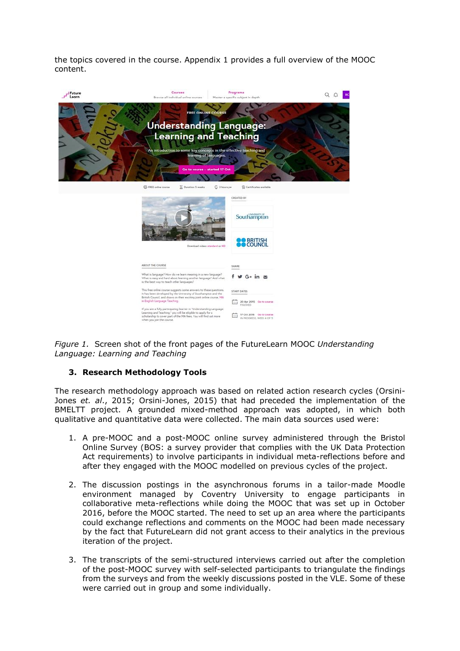the topics covered in the course. Appendix 1 provides a full overview of the MOOC content.



*Figure 1.* Screen shot of the front pages of the FutureLearn MOOC *Understanding Language: Learning and Teaching*

#### **3. Research Methodology Tools**

The research methodology approach was based on related action research cycles (Orsini-Jones *et. al*., 2015; Orsini-Jones, 2015) that had preceded the implementation of the BMELTT project. A grounded mixed-method approach was adopted, in which both qualitative and quantitative data were collected. The main data sources used were:

- 1. A pre-MOOC and a post-MOOC online survey administered through the Bristol Online Survey (BOS: a survey provider that complies with the UK Data Protection Act requirements) to involve participants in individual meta-reflections before and after they engaged with the MOOC modelled on previous cycles of the project.
- 2. The discussion postings in the asynchronous forums in a tailor-made Moodle environment managed by Coventry University to engage participants in collaborative meta-reflections while doing the MOOC that was set up in October 2016, before the MOOC started. The need to set up an area where the participants could exchange reflections and comments on the MOOC had been made necessary by the fact that FutureLearn did not grant access to their analytics in the previous iteration of the project.
- 3. The transcripts of the semi-structured interviews carried out after the completion of the post-MOOC survey with self-selected participants to triangulate the findings from the surveys and from the weekly discussions posted in the VLE. Some of these were carried out in group and some individually.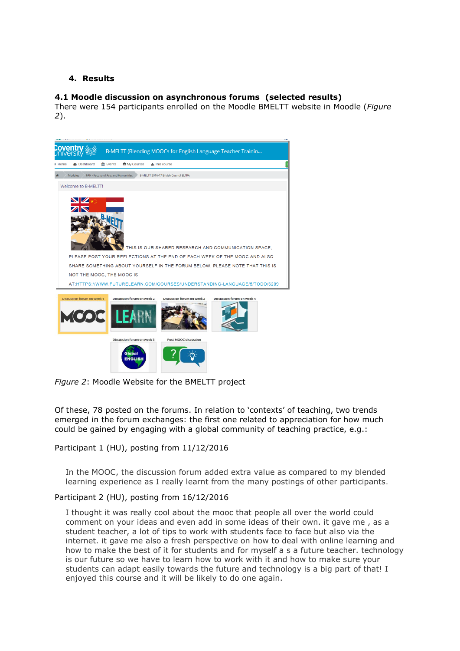### **4. Results**

### **4.1 Moodle discussion on asynchronous forums (selected results)**

There were 154 participants enrolled on the Moodle BMELTT website in Moodle (*Figure 2*).



*Figure 2*: Moodle Website for the BMELTT project

Of these, 78 posted on the forums. In relation to 'contexts' of teaching, two trends emerged in the forum exchanges: the first one related to appreciation for how much could be gained by engaging with a global community of teaching practice, e.g.:

Participant 1 (HU), posting from 11/12/2016

In the MOOC, the discussion forum added extra value as compared to my blended learning experience as I really learnt from the many postings of other participants.

#### Participant 2 (HU), posting from 16/12/2016

I thought it was really cool about the mooc that people all over the world could comment on your ideas and even add in some ideas of their own. it gave me , as a student teacher, a lot of tips to work with students face to face but also via the internet. it gave me also a fresh perspective on how to deal with online learning and how to make the best of it for students and for myself a s a future teacher. technology is our future so we have to learn how to work with it and how to make sure your students can adapt easily towards the future and technology is a big part of that! I enjoyed this course and it will be likely to do one again.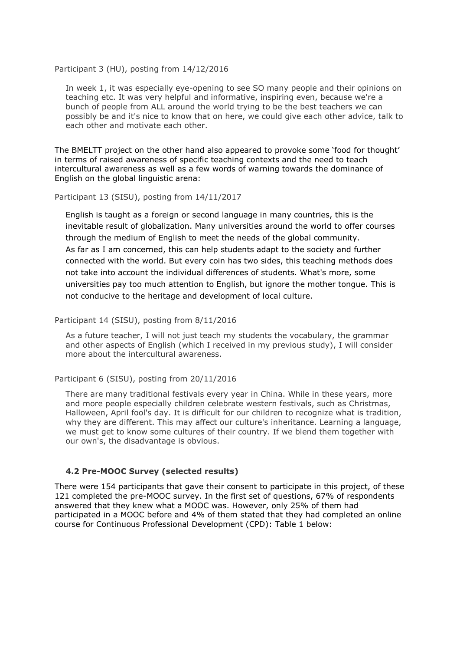#### Participant 3 (HU), posting from 14/12/2016

In week 1, it was especially eye-opening to see SO many people and their opinions on teaching etc. It was very helpful and informative, inspiring even, because we're a bunch of people from ALL around the world trying to be the best teachers we can possibly be and it's nice to know that on here, we could give each other advice, talk to each other and motivate each other.

The BMELTT project on the other hand also appeared to provoke some 'food for thought' in terms of raised awareness of specific teaching contexts and the need to teach intercultural awareness as well as a few words of warning towards the dominance of English on the global linguistic arena:

#### Participant 13 (SISU), posting from 14/11/2017

English is taught as a foreign or second language in many countries, this is the inevitable result of globalization. Many universities around the world to offer courses through the medium of English to meet the needs of the global community. As far as I am concerned, this can help students adapt to the society and further connected with the world. But every coin has two sides, this teaching methods does not take into account the individual differences of students. What's more, some universities pay too much attention to English, but ignore the mother tongue. This is not conducive to the heritage and development of local culture.

#### Participant 14 (SISU), posting from 8/11/2016

As a future teacher, I will not just teach my students the vocabulary, the grammar and other aspects of English (which I received in my previous study), I will consider more about the intercultural awareness.

#### Participant 6 (SISU), posting from 20/11/2016

There are many traditional festivals every year in China. While in these years, more and more people especially children celebrate western festivals, such as Christmas, Halloween, April fool's day. It is difficult for our children to recognize what is tradition, why they are different. This may affect our culture's inheritance. Learning a language, we must get to know some cultures of their country. If we blend them together with our own's, the disadvantage is obvious.

#### **4.2 Pre-MOOC Survey (selected results)**

There were 154 participants that gave their consent to participate in this project, of these 121 completed the pre-MOOC survey. In the first set of questions, 67% of respondents answered that they knew what a MOOC was. However, only 25% of them had participated in a MOOC before and 4% of them stated that they had completed an online course for Continuous Professional Development (CPD): Table 1 below: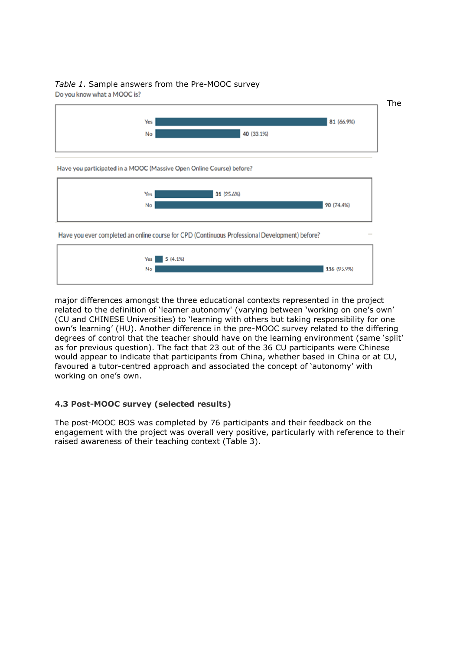# *Table 1*. Sample answers from the Pre-MOOC survey

Do you know what a MOOC is?





major differences amongst the three educational contexts represented in the project related to the definition of 'learner autonomy' (varying between 'working on one's own' (CU and CHINESE Universities) to 'learning with others but taking responsibility for one own's learning' (HU). Another difference in the pre-MOOC survey related to the differing degrees of control that the teacher should have on the learning environment (same 'split' as for previous question). The fact that 23 out of the 36 CU participants were Chinese would appear to indicate that participants from China, whether based in China or at CU, favoured a tutor-centred approach and associated the concept of 'autonomy' with working on one's own.

# **4.3 Post-MOOC survey (selected results)**

The post-MOOC BOS was completed by 76 participants and their feedback on the engagement with the project was overall very positive, particularly with reference to their raised awareness of their teaching context (Table 3).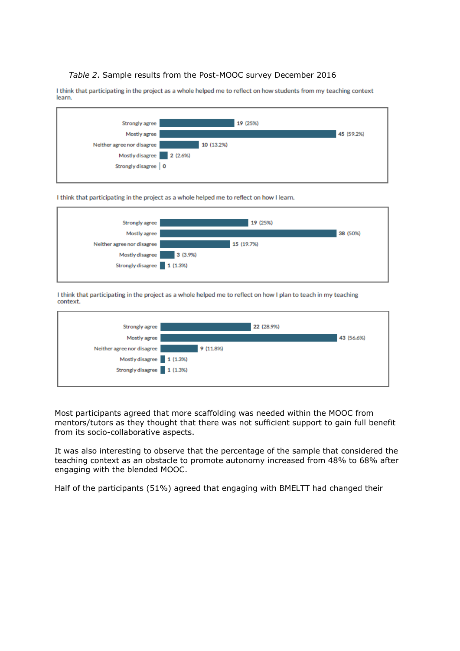#### *Table 2*. Sample results from the Post-MOOC survey December 2016

I think that participating in the project as a whole helped me to reflect on how students from my teaching context learn.



#### I think that participating in the project as a whole helped me to reflect on how I learn.



I think that participating in the project as a whole helped me to reflect on how I plan to teach in my teaching context.



Most participants agreed that more scaffolding was needed within the MOOC from mentors/tutors as they thought that there was not sufficient support to gain full benefit from its socio-collaborative aspects.

It was also interesting to observe that the percentage of the sample that considered the teaching context as an obstacle to promote autonomy increased from 48% to 68% after engaging with the blended MOOC.

Half of the participants (51%) agreed that engaging with BMELTT had changed their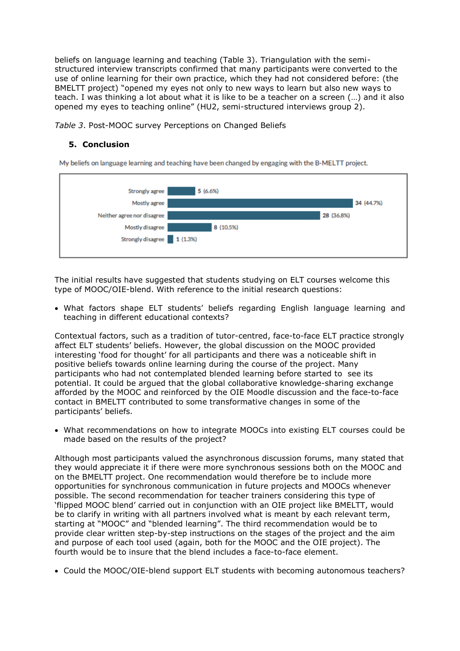beliefs on language learning and teaching (Table 3). Triangulation with the semistructured interview transcripts confirmed that many participants were converted to the use of online learning for their own practice, which they had not considered before: (the BMELTT project) "opened my eyes not only to new ways to learn but also new ways to teach. I was thinking a lot about what it is like to be a teacher on a screen (…) and it also opened my eyes to teaching online" (HU2, semi-structured interviews group 2).

*Table 3*. Post-MOOC survey Perceptions on Changed Beliefs

# **5. Conclusion**

My beliefs on language learning and teaching have been changed by engaging with the B-MELTT project.



The initial results have suggested that students studying on ELT courses welcome this type of MOOC/OIE-blend. With reference to the initial research questions:

 What factors shape ELT students' beliefs regarding English language learning and teaching in different educational contexts?

Contextual factors, such as a tradition of tutor-centred, face-to-face ELT practice strongly affect ELT students' beliefs. However, the global discussion on the MOOC provided interesting 'food for thought' for all participants and there was a noticeable shift in positive beliefs towards online learning during the course of the project. Many participants who had not contemplated blended learning before started to see its potential. It could be argued that the global collaborative knowledge-sharing exchange afforded by the MOOC and reinforced by the OIE Moodle discussion and the face-to-face contact in BMELTT contributed to some transformative changes in some of the participants' beliefs.

 What recommendations on how to integrate MOOCs into existing ELT courses could be made based on the results of the project?

Although most participants valued the asynchronous discussion forums, many stated that they would appreciate it if there were more synchronous sessions both on the MOOC and on the BMELTT project. One recommendation would therefore be to include more opportunities for synchronous communication in future projects and MOOCs whenever possible. The second recommendation for teacher trainers considering this type of 'flipped MOOC blend' carried out in conjunction with an OIE project like BMELTT, would be to clarify in writing with all partners involved what is meant by each relevant term, starting at "MOOC" and "blended learning". The third recommendation would be to provide clear written step-by-step instructions on the stages of the project and the aim and purpose of each tool used (again, both for the MOOC and the OIE project). The fourth would be to insure that the blend includes a face-to-face element.

Could the MOOC/OIE-blend support ELT students with becoming autonomous teachers?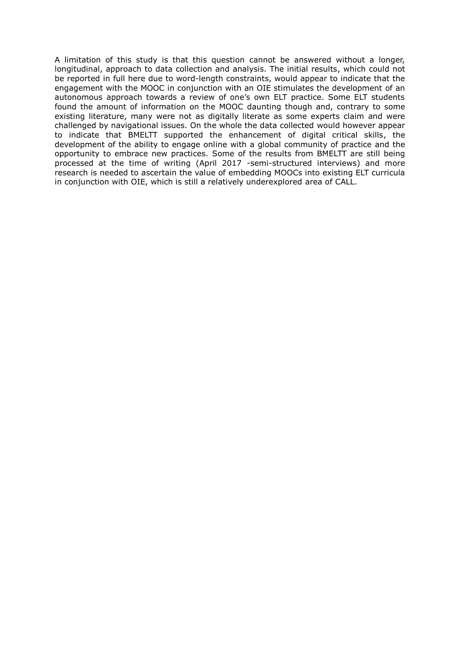A limitation of this study is that this question cannot be answered without a longer, longitudinal, approach to data collection and analysis. The initial results, which could not be reported in full here due to word-length constraints, would appear to indicate that the engagement with the MOOC in conjunction with an OIE stimulates the development of an autonomous approach towards a review of one's own ELT practice. Some ELT students found the amount of information on the MOOC daunting though and, contrary to some existing literature, many were not as digitally literate as some experts claim and were challenged by navigational issues. On the whole the data collected would however appear to indicate that BMELTT supported the enhancement of digital critical skills, the development of the ability to engage online with a global community of practice and the opportunity to embrace new practices. Some of the results from BMELTT are still being processed at the time of writing (April 2017 -semi-structured interviews) and more research is needed to ascertain the value of embedding MOOCs into existing ELT curricula in conjunction with OIE, which is still a relatively underexplored area of CALL.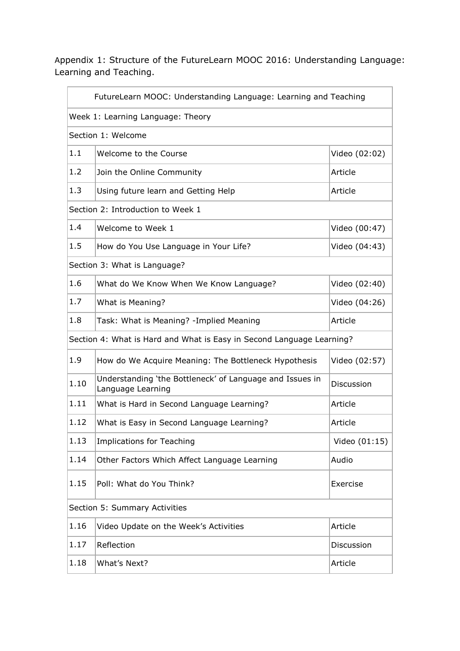Appendix 1: Structure of the FutureLearn MOOC 2016: Understanding Language: Learning and Teaching.

| FutureLearn MOOC: Understanding Language: Learning and Teaching       |                                                                               |               |
|-----------------------------------------------------------------------|-------------------------------------------------------------------------------|---------------|
|                                                                       | Week 1: Learning Language: Theory                                             |               |
|                                                                       | Section 1: Welcome                                                            |               |
| 1.1                                                                   | Welcome to the Course                                                         | Video (02:02) |
| 1.2                                                                   | Join the Online Community                                                     | Article       |
| 1.3                                                                   | Using future learn and Getting Help                                           | Article       |
|                                                                       | Section 2: Introduction to Week 1                                             |               |
| 1.4                                                                   | Welcome to Week 1                                                             | Video (00:47) |
| 1.5                                                                   | How do You Use Language in Your Life?                                         | Video (04:43) |
|                                                                       | Section 3: What is Language?                                                  |               |
| 1.6                                                                   | What do We Know When We Know Language?                                        | Video (02:40) |
| 1.7                                                                   | What is Meaning?                                                              | Video (04:26) |
| 1.8                                                                   | Task: What is Meaning? - Implied Meaning                                      | Article       |
| Section 4: What is Hard and What is Easy in Second Language Learning? |                                                                               |               |
| 1.9                                                                   | How do We Acquire Meaning: The Bottleneck Hypothesis                          | Video (02:57) |
| 1.10                                                                  | Understanding 'the Bottleneck' of Language and Issues in<br>Language Learning | Discussion    |
| 1.11                                                                  | What is Hard in Second Language Learning?                                     | Article       |
| 1.12                                                                  | What is Easy in Second Language Learning?                                     | Article       |
| 1.13                                                                  | <b>Implications for Teaching</b>                                              | Video (01:15) |
| 1.14                                                                  | Other Factors Which Affect Language Learning                                  | Audio         |
| 1.15                                                                  | Poll: What do You Think?                                                      | Exercise      |
| Section 5: Summary Activities                                         |                                                                               |               |
| 1.16                                                                  | Video Update on the Week's Activities                                         | Article       |
| 1.17                                                                  | Reflection                                                                    | Discussion    |
| 1.18                                                                  | What's Next?                                                                  | Article       |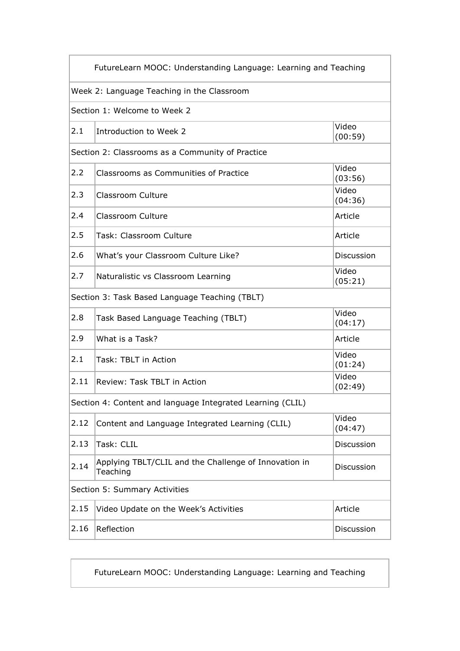| FutureLearn MOOC: Understanding Language: Learning and Teaching |                                                                   |                  |
|-----------------------------------------------------------------|-------------------------------------------------------------------|------------------|
|                                                                 | Week 2: Language Teaching in the Classroom                        |                  |
|                                                                 | Section 1: Welcome to Week 2                                      |                  |
| 2.1                                                             | Introduction to Week 2                                            | Video<br>(00:59) |
|                                                                 | Section 2: Classrooms as a Community of Practice                  |                  |
| 2.2                                                             | Classrooms as Communities of Practice                             | Video<br>(03:56) |
| 2.3                                                             | Classroom Culture                                                 | Video<br>(04:36) |
| 2.4                                                             | Classroom Culture                                                 | Article          |
| 2.5                                                             | Task: Classroom Culture                                           | Article          |
| 2.6                                                             | What's your Classroom Culture Like?                               | Discussion       |
| 2.7                                                             | Naturalistic vs Classroom Learning                                | Video<br>(05:21) |
| Section 3: Task Based Language Teaching (TBLT)                  |                                                                   |                  |
| 2.8                                                             | Task Based Language Teaching (TBLT)                               | Video<br>(04:17) |
| 2.9                                                             | What is a Task?                                                   | Article          |
| 2.1                                                             | Task: TBLT in Action                                              | Video<br>(01:24) |
| 2.11                                                            | Review: Task TBLT in Action                                       | Video<br>(02:49) |
| Section 4: Content and language Integrated Learning (CLIL)      |                                                                   |                  |
| 2.12                                                            | Content and Language Integrated Learning (CLIL)                   | Video<br>(04:47) |
| 2.13                                                            | Task: CLIL                                                        | Discussion       |
| 2.14                                                            | Applying TBLT/CLIL and the Challenge of Innovation in<br>Teaching | Discussion       |
| Section 5: Summary Activities                                   |                                                                   |                  |
| 2.15                                                            | Video Update on the Week's Activities                             | Article          |
| 2.16                                                            | Reflection                                                        | Discussion       |

FutureLearn MOOC: Understanding Language: Learning and Teaching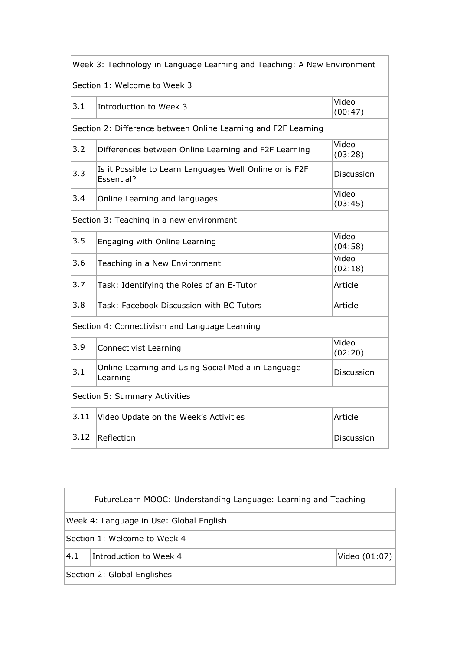| Week 3: Technology in Language Learning and Teaching: A New Environment |                                                                       |                   |
|-------------------------------------------------------------------------|-----------------------------------------------------------------------|-------------------|
|                                                                         | Section 1: Welcome to Week 3                                          |                   |
| 3.1                                                                     | Introduction to Week 3                                                | Video<br>(00:47)  |
|                                                                         | Section 2: Difference between Online Learning and F2F Learning        |                   |
| 3.2                                                                     | Differences between Online Learning and F2F Learning                  | Video<br>(03:28)  |
| 3.3                                                                     | Is it Possible to Learn Languages Well Online or is F2F<br>Essential? | Discussion        |
| 3.4                                                                     | Online Learning and languages                                         | Video<br>(03:45)  |
| Section 3: Teaching in a new environment                                |                                                                       |                   |
| 3.5                                                                     | Engaging with Online Learning                                         | Video<br>(04:58)  |
| 3.6                                                                     | Teaching in a New Environment                                         | Video<br>(02:18)  |
| 3.7                                                                     | Task: Identifying the Roles of an E-Tutor                             | Article           |
| 3.8                                                                     | Task: Facebook Discussion with BC Tutors                              | Article           |
|                                                                         | Section 4: Connectivism and Language Learning                         |                   |
| 3.9                                                                     | <b>Connectivist Learning</b>                                          | Video<br>(02:20)  |
| 3.1                                                                     | Online Learning and Using Social Media in Language<br>Learning        | <b>Discussion</b> |
| Section 5: Summary Activities                                           |                                                                       |                   |
| 3.11                                                                    | Video Update on the Week's Activities                                 | Article           |
| 3.12                                                                    | Reflection                                                            | Discussion        |

| FutureLearn MOOC: Understanding Language: Learning and Teaching |                        |               |
|-----------------------------------------------------------------|------------------------|---------------|
| Week 4: Language in Use: Global English                         |                        |               |
| Section 1: Welcome to Week 4                                    |                        |               |
| 4.1                                                             | Introduction to Week 4 | Video (01:07) |
| Section 2: Global Englishes                                     |                        |               |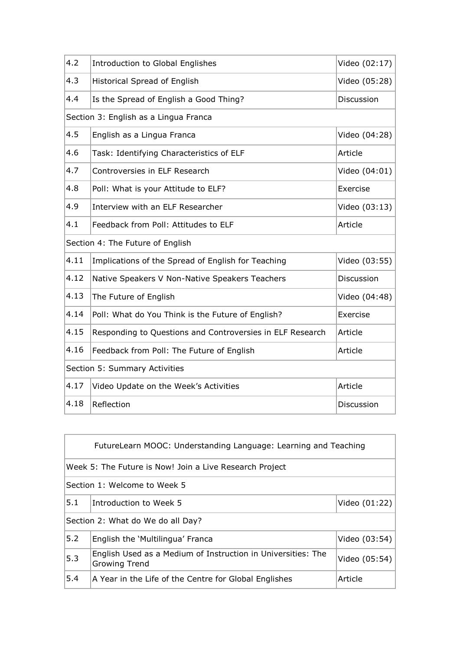| 4.2                                   | Introduction to Global Englishes                          | Video (02:17) |
|---------------------------------------|-----------------------------------------------------------|---------------|
| 4.3                                   | Historical Spread of English                              | Video (05:28) |
| 4.4                                   | Is the Spread of English a Good Thing?                    | Discussion    |
| Section 3: English as a Lingua Franca |                                                           |               |
| 4.5                                   | English as a Lingua Franca                                | Video (04:28) |
| 4.6                                   | Task: Identifying Characteristics of ELF                  | Article       |
| 4.7                                   | Controversies in ELF Research                             | Video (04:01) |
| 4.8                                   | Poll: What is your Attitude to ELF?                       | Exercise      |
| 4.9                                   | Interview with an ELF Researcher                          | Video (03:13) |
| 4.1                                   | Feedback from Poll: Attitudes to ELF                      | Article       |
| Section 4: The Future of English      |                                                           |               |
| 4.11                                  | Implications of the Spread of English for Teaching        | Video (03:55) |
| 4.12                                  | Native Speakers V Non-Native Speakers Teachers            | Discussion    |
| 4.13                                  | The Future of English                                     | Video (04:48) |
| 4.14                                  | Poll: What do You Think is the Future of English?         | Exercise      |
| 4.15                                  | Responding to Questions and Controversies in ELF Research | Article       |
| 4.16                                  | Feedback from Poll: The Future of English                 | Article       |
| Section 5: Summary Activities         |                                                           |               |
| 4.17                                  | Video Update on the Week's Activities                     | Article       |
| 4.18                                  | Reflection                                                | Discussion    |

| FutureLearn MOOC: Understanding Language: Learning and Teaching |                                                                                      |               |
|-----------------------------------------------------------------|--------------------------------------------------------------------------------------|---------------|
| Week 5: The Future is Now! Join a Live Research Project         |                                                                                      |               |
| Section 1: Welcome to Week 5                                    |                                                                                      |               |
| 5.1                                                             | Introduction to Week 5                                                               | Video (01:22) |
| Section 2: What do We do all Day?                               |                                                                                      |               |
| 5.2                                                             | English the 'Multilingua' Franca                                                     | Video (03:54) |
| 5.3                                                             | English Used as a Medium of Instruction in Universities: The<br><b>Growing Trend</b> | Video (05:54) |
| 5.4                                                             | A Year in the Life of the Centre for Global Englishes                                | Article       |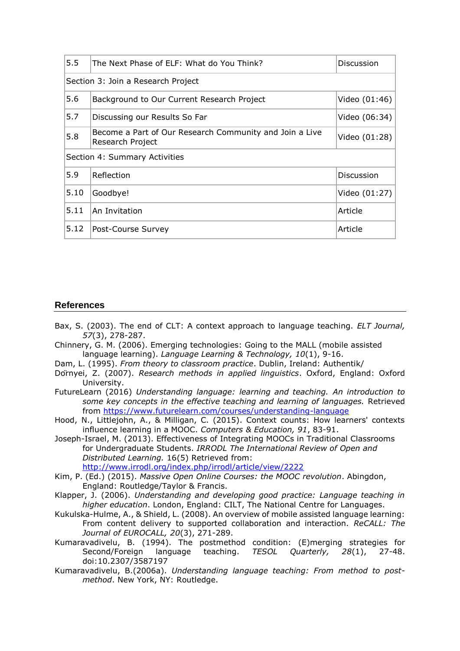| 5.5                           | The Next Phase of ELF: What do You Think?                                   | Discussion    |
|-------------------------------|-----------------------------------------------------------------------------|---------------|
|                               | Section 3: Join a Research Project                                          |               |
| 5.6                           | Background to Our Current Research Project                                  | Video (01:46) |
| 5.7                           | Discussing our Results So Far                                               | Video (06:34) |
| 5.8                           | Become a Part of Our Research Community and Join a Live<br>Research Project | Video (01:28) |
| Section 4: Summary Activities |                                                                             |               |
| 5.9                           | Reflection                                                                  | Discussion    |
| 5.10                          | Goodbye!                                                                    | Video (01:27) |
| 5.11                          | An Invitation                                                               | Article       |
| 5.12                          | Post-Course Survey                                                          | Article       |

# **References**

- Bax, S. (2003). The end of CLT: A context approach to language teaching. *ELT Journal, 57*(3), 278-287.
- Chinnery, G. M. (2006). Emerging technologies: Going to the MALL (mobile assisted language learning). *Language Learning & Technology, 10*(1), 9-16.
- Dam, L. (1995). *From theory to classroom practice*. Dublin, Ireland: Authentik/
- Dörnyei, Z. (2007). *Research methods in applied linguistics*. Oxford, England: Oxford University.
- FutureLearn (2016) *Understanding language: learning and teaching. An introduction to some key concepts in the effective teaching and learning of languages.* Retrieved from<https://www.futurelearn.com/courses/understanding-language>
- Hood, N., Littlejohn, A., & Milligan, C. (2015). Context counts: How learners' contexts influence learning in a MOOC. *Computers & Education, 91*, 83-91.
- Joseph-Israel, M. (2013). Effectiveness of Integrating MOOCs in Traditional Classrooms for Undergraduate Students. *IRRODL The International Review of Open and Distributed Learning.* 16(5) Retrieved from:
	- <http://www.irrodl.org/index.php/irrodl/article/view/2222>
- Kim, P. (Ed.) (2015). *Massive Open Online Courses: the MOOC revolution*. Abingdon, England: Routledge/Taylor & Francis.
- Klapper, J. (2006). *Understanding and developing good practice: Language teaching in higher education*. London, England: CILT, The National Centre for Languages.
- Kukulska-Hulme, A., & Shield, L. (2008). An overview of mobile assisted language learning: From content delivery to supported collaboration and interaction. *ReCALL: The Journal of EUROCALL, 20*(3), 271-289.
- Kumaravadivelu, B. (1994). The postmethod condition: (E)merging strategies for Second/Foreign language teaching. *TESOL Quarterly, 28*(1), 27-48. doi:10.2307/3587197
- Kumaravadivelu, B.(2006a). *Understanding language teaching: From method to postmethod*. New York, NY: Routledge.